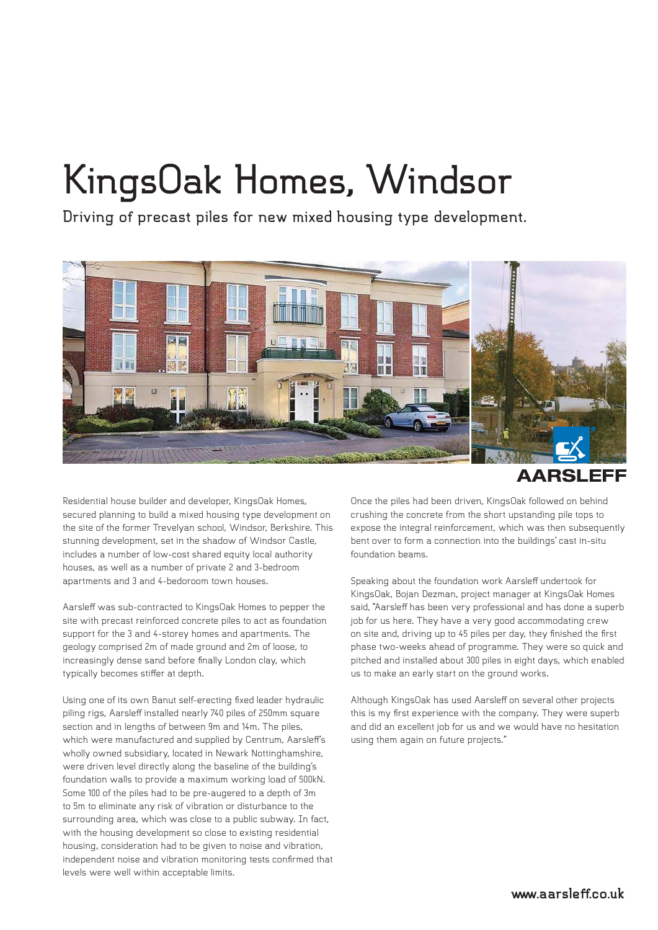## **KingsOak Homes, Windsor**

**Driving of precast piles for new mixed housing type development.**



**AARSLEFF** 

Residential house builder and developer, KingsOak Homes, secured planning to build a mixed housing type development on the site of the former Trevelyan school, Windsor, Berkshire. This stunning development, set in the shadow of Windsor Castle, includes a number of low-cost shared equity local authority houses, as well as a number of private 2 and 3-bedroom apartments and 3 and 4-bedoroom town houses.

Aarsleff was sub-contracted to KingsOak Homes to pepper the site with precast reinforced concrete piles to act as foundation support for the 3 and 4-storey homes and apartments. The geology comprised 2m of made ground and 2m of loose, to increasingly dense sand before finally London clay, which typically becomes stiffer at depth.

Using one of its own Banut self-erecting fixed leader hydraulic piling rigs, Aarsleff installed nearly 740 piles of 250mm square section and in lengths of between 9m and 14m. The piles, which were manufactured and supplied by Centrum, Aarsleff's wholly owned subsidiary, located in Newark Nottinghamshire, were driven level directly along the baseline of the building's foundation walls to provide a maximum working load of 500kN. Some 100 of the piles had to be pre-augered to a depth of 3m to 5m to eliminate any risk of vibration or disturbance to the surrounding area, which was close to a public subway. In fact, with the housing development so close to existing residential housing, consideration had to be given to noise and vibration, independent noise and vibration monitoring tests confirmed that levels were well within acceptable limits.

Once the piles had been driven, KingsOak followed on behind crushing the concrete from the short upstanding pile tops to expose the integral reinforcement, which was then subsequently bent over to form a connection into the buildings' cast in-situ foundation beams.

Speaking about the foundation work Aarsleff undertook for KingsOak, Bojan Dezman, project manager at KingsOak Homes said, "Aarsleff has been very professional and has done a superb job for us here. They have a very good accommodating crew on site and, driving up to 45 piles per day, they finished the first phase two-weeks ahead of programme. They were so quick and pitched and installed about 300 piles in eight days, which enabled us to make an early start on the ground works.

Although KingsOak has used Aarsleff on several other projects this is my first experience with the company. They were superb and did an excellent job for us and we would have no hesitation using them again on future projects."